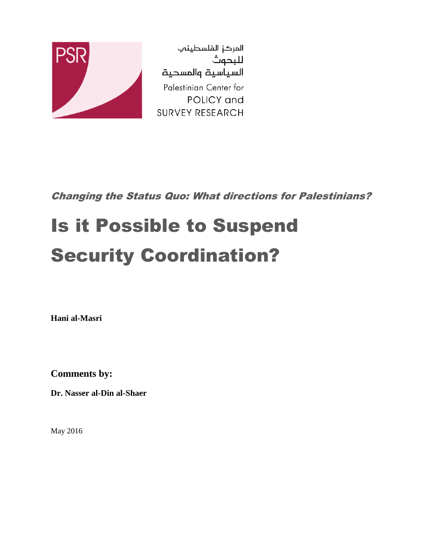

المركز الفلسطينب للبحوث السياسية والمسحية Palestinian Center for POLICY and **SURVEY RESEARCH** 

Changing the Status Quo: What directions for Palestinians?

# Is it Possible to Suspend Security Coordination?

**Hani al-Masri**

**Comments by:**

**Dr. Nasser al-Din al-Shaer**

May 2016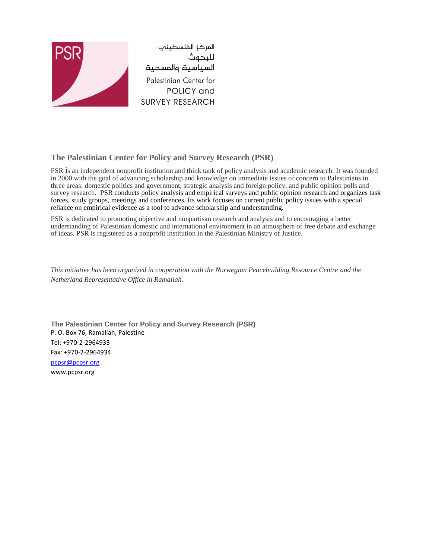

#### **The Palestinian Center for Policy and Survey Research (PSR)**

PSR is an independent nonprofit institution and think tank of policy analysis and academic research. It was founded in 2000 with the goal of advancing scholarship and knowledge on immediate issues of concern to Palestinians in three areas: domestic politics and government, strategic analysis and foreign policy, and public opinion polls and survey research. PSR conducts policy analysis and empirical surveys and public opinion research and organizes task forces, study groups, meetings and conferences. Its work focuses on current public policy issues with a special reliance on empirical evidence as a tool to advance scholarship and understanding.

PSR is dedicated to promoting objective and nonpartisan research and analysis and to encouraging a better understanding of Palestinian domestic and international environment in an atmosphere of free debate and exchange of ideas. PSR is registered as a nonprofit institution in the Palestinian Ministry of Justice.

*This initiative has been organized in cooperation with the Norwegian Peacebuilding Resource Centre and the Netherland Representative Office in Ramallah.*

**The Palestinian Center for Policy and Survey Research (PSR)** P. O. Box 76, Ramallah, Palestine Tel: +970-2-2964933 Fax: +970-2-2964934 [pcpsr@pcpsr.org](mailto:pcpsr@pcpsr.org) www.pcpsr.org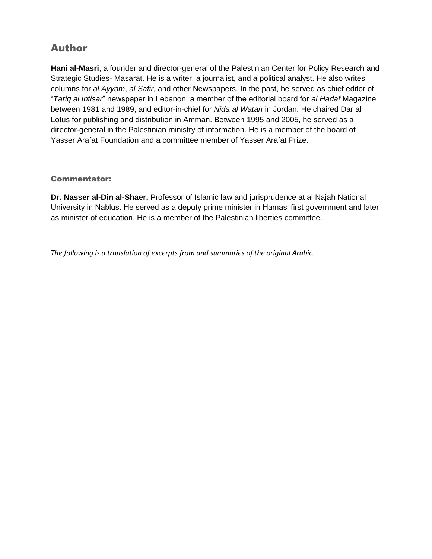### Author

**Hani al-Masri**, a founder and director-general of the Palestinian Center for Policy Research and Strategic Studies- Masarat. He is a writer, a journalist, and a political analyst. He also writes columns for *al Ayyam*, *al Safir*, and other Newspapers. In the past, he served as chief editor of "*Tariq al Intisar*" newspaper in Lebanon, a member of the editorial board for *al Hadaf* Magazine between 1981 and 1989, and editor-in-chief for *Nida al Watan* in Jordan. He chaired Dar al Lotus for publishing and distribution in Amman. Between 1995 and 2005, he served as a director-general in the Palestinian ministry of information. He is a member of the board of Yasser Arafat Foundation and a committee member of Yasser Arafat Prize.

#### Commentator:

**Dr. Nasser al-Din al-Shaer,** Professor of Islamic law and jurisprudence at al Najah National University in Nablus. He served as a deputy prime minister in Hamas' first government and later as minister of education. He is a member of the Palestinian liberties committee.

*The following is a translation of excerpts from and summaries of the original Arabic.*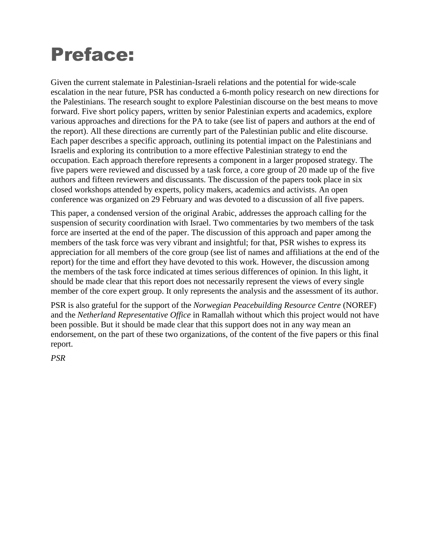# Preface:

Given the current stalemate in Palestinian-Israeli relations and the potential for wide-scale escalation in the near future, PSR has conducted a 6-month policy research on new directions for the Palestinians. The research sought to explore Palestinian discourse on the best means to move forward. Five short policy papers, written by senior Palestinian experts and academics, explore various approaches and directions for the PA to take (see list of papers and authors at the end of the report). All these directions are currently part of the Palestinian public and elite discourse. Each paper describes a specific approach, outlining its potential impact on the Palestinians and Israelis and exploring its contribution to a more effective Palestinian strategy to end the occupation. Each approach therefore represents a component in a larger proposed strategy. The five papers were reviewed and discussed by a task force, a core group of 20 made up of the five authors and fifteen reviewers and discussants. The discussion of the papers took place in six closed workshops attended by experts, policy makers, academics and activists. An open conference was organized on 29 February and was devoted to a discussion of all five papers.

This paper, a condensed version of the original Arabic, addresses the approach calling for the suspension of security coordination with Israel. Two commentaries by two members of the task force are inserted at the end of the paper. The discussion of this approach and paper among the members of the task force was very vibrant and insightful; for that, PSR wishes to express its appreciation for all members of the core group (see list of names and affiliations at the end of the report) for the time and effort they have devoted to this work. However, the discussion among the members of the task force indicated at times serious differences of opinion. In this light, it should be made clear that this report does not necessarily represent the views of every single member of the core expert group. It only represents the analysis and the assessment of its author.

PSR is also grateful for the support of the *Norwegian Peacebuilding Resource Centre* (NOREF) and the *Netherland Representative Office* in Ramallah without which this project would not have been possible. But it should be made clear that this support does not in any way mean an endorsement, on the part of these two organizations, of the content of the five papers or this final report.

*PSR*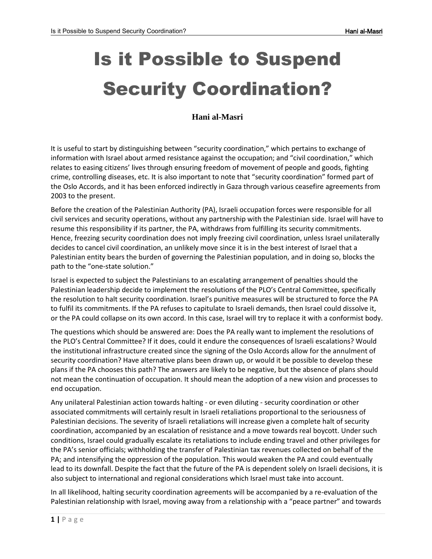# Is it Possible to Suspend Security Coordination?

#### **Hani al-Masri**

It is useful to start by distinguishing between "security coordination," which pertains to exchange of information with Israel about armed resistance against the occupation; and "civil coordination," which relates to easing citizens' lives through ensuring freedom of movement of people and goods, fighting crime, controlling diseases, etc. It is also important to note that "security coordination" formed part of the Oslo Accords, and it has been enforced indirectly in Gaza through various ceasefire agreements from 2003 to the present.

Before the creation of the Palestinian Authority (PA), Israeli occupation forces were responsible for all civil services and security operations, without any partnership with the Palestinian side. Israel will have to resume this responsibility if its partner, the PA, withdraws from fulfilling its security commitments. Hence, freezing security coordination does not imply freezing civil coordination, unless Israel unilaterally decides to cancel civil coordination, an unlikely move since it is in the best interest of Israel that a Palestinian entity bears the burden of governing the Palestinian population, and in doing so, blocks the path to the "one-state solution."

Israel is expected to subject the Palestinians to an escalating arrangement of penalties should the Palestinian leadership decide to implement the resolutions of the PLO's Central Committee, specifically the resolution to halt security coordination. Israel's punitive measures will be structured to force the PA to fulfil its commitments. If the PA refuses to capitulate to Israeli demands, then Israel could dissolve it, or the PA could collapse on its own accord. In this case, Israel will try to replace it with a conformist body.

The questions which should be answered are: Does the PA really want to implement the resolutions of the PLO's Central Committee? If it does, could it endure the consequences of Israeli escalations? Would the institutional infrastructure created since the signing of the Oslo Accords allow for the annulment of security coordination? Have alternative plans been drawn up, or would it be possible to develop these plans if the PA chooses this path? The answers are likely to be negative, but the absence of plans should not mean the continuation of occupation. It should mean the adoption of a new vision and processes to end occupation.

Any unilateral Palestinian action towards halting - or even diluting - security coordination or other associated commitments will certainly result in Israeli retaliations proportional to the seriousness of Palestinian decisions. The severity of Israeli retaliations will increase given a complete halt of security coordination, accompanied by an escalation of resistance and a move towards real boycott. Under such conditions, Israel could gradually escalate its retaliations to include ending travel and other privileges for the PA's senior officials; withholding the transfer of Palestinian tax revenues collected on behalf of the PA; and intensifying the oppression of the population. This would weaken the PA and could eventually lead to its downfall. Despite the fact that the future of the PA is dependent solely on Israeli decisions, it is also subject to international and regional considerations which Israel must take into account.

In all likelihood, halting security coordination agreements will be accompanied by a re-evaluation of the Palestinian relationship with Israel, moving away from a relationship with a "peace partner" and towards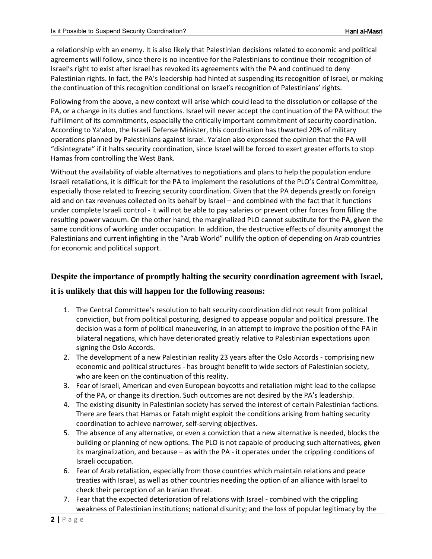a relationship with an enemy. It is also likely that Palestinian decisions related to economic and political agreements will follow, since there is no incentive for the Palestinians to continue their recognition of Israel's right to exist after Israel has revoked its agreements with the PA and continued to deny Palestinian rights. In fact, the PA's leadership had hinted at suspending its recognition of Israel, or making the continuation of this recognition conditional on Israel's recognition of Palestinians' rights.

Following from the above, a new context will arise which could lead to the dissolution or collapse of the PA, or a change in its duties and functions. Israel will never accept the continuation of the PA without the fulfillment of its commitments, especially the critically important commitment of security coordination. According to Ya'alon, the Israeli Defense Minister, this coordination has thwarted 20% of military operations planned by Palestinians against Israel. Ya'alon also expressed the opinion that the PA will "disintegrate" if it halts security coordination, since Israel will be forced to exert greater efforts to stop Hamas from controlling the West Bank.

Without the availability of viable alternatives to negotiations and plans to help the population endure Israeli retaliations, it is difficult for the PA to implement the resolutions of the PLO's Central Committee, especially those related to freezing security coordination. Given that the PA depends greatly on foreign aid and on tax revenues collected on its behalf by Israel – and combined with the fact that it functions under complete Israeli control - it will not be able to pay salaries or prevent other forces from filling the resulting power vacuum. On the other hand, the marginalized PLO cannot substitute for the PA, given the same conditions of working under occupation. In addition, the destructive effects of disunity amongst the Palestinians and current infighting in the "Arab World" nullify the option of depending on Arab countries for economic and political support.

#### **Despite the importance of promptly halting the security coordination agreement with Israel,**

#### **it is unlikely that this will happen for the following reasons:**

- 1. The Central Committee's resolution to halt security coordination did not result from political conviction, but from political posturing, designed to appease popular and political pressure. The decision was a form of political maneuvering, in an attempt to improve the position of the PA in bilateral negations, which have deteriorated greatly relative to Palestinian expectations upon signing the Oslo Accords.
- 2. The development of a new Palestinian reality 23 years after the Oslo Accords comprising new economic and political structures - has brought benefit to wide sectors of Palestinian society, who are keen on the continuation of this reality.
- 3. Fear of Israeli, American and even European boycotts and retaliation might lead to the collapse of the PA, or change its direction. Such outcomes are not desired by the PA's leadership.
- 4. The existing disunity in Palestinian society has served the interest of certain Palestinian factions. There are fears that Hamas or Fatah might exploit the conditions arising from halting security coordination to achieve narrower, self-serving objectives.
- 5. The absence of any alternative, or even a conviction that a new alternative is needed, blocks the building or planning of new options. The PLO is not capable of producing such alternatives, given its marginalization, and because – as with the PA - it operates under the crippling conditions of Israeli occupation.
- 6. Fear of Arab retaliation, especially from those countries which maintain relations and peace treaties with Israel, as well as other countries needing the option of an alliance with Israel to check their perception of an Iranian threat.
- 7. Fear that the expected deterioration of relations with Israel combined with the crippling weakness of Palestinian institutions; national disunity; and the loss of popular legitimacy by the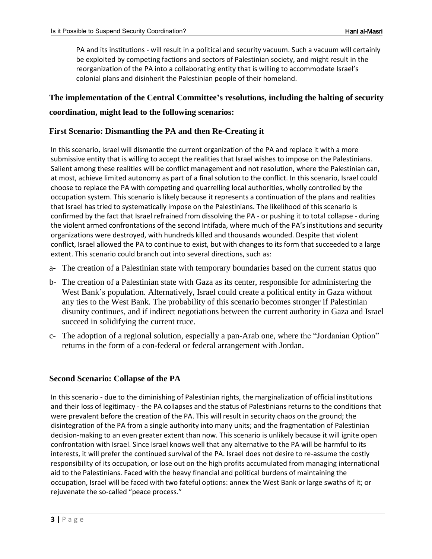PA and its institutions - will result in a political and security vacuum. Such a vacuum will certainly be exploited by competing factions and sectors of Palestinian society, and might result in the reorganization of the PA into a collaborating entity that is willing to accommodate Israel's colonial plans and disinherit the Palestinian people of their homeland.

### **The implementation of the Central Committee's resolutions, including the halting of security coordination, might lead to the following scenarios:**

#### **First Scenario: Dismantling the PA and then Re-Creating it**

In this scenario, Israel will dismantle the current organization of the PA and replace it with a more submissive entity that is willing to accept the realities that Israel wishes to impose on the Palestinians. Salient among these realities will be conflict management and not resolution, where the Palestinian can, at most, achieve limited autonomy as part of a final solution to the conflict. In this scenario, Israel could choose to replace the PA with competing and quarrelling local authorities, wholly controlled by the occupation system. This scenario is likely because it represents a continuation of the plans and realities that Israel has tried to systematically impose on the Palestinians. The likelihood of this scenario is confirmed by the fact that Israel refrained from dissolving the PA - or pushing it to total collapse - during the violent armed confrontations of the second Intifada, where much of the PA's institutions and security organizations were destroyed, with hundreds killed and thousands wounded. Despite that violent conflict, Israel allowed the PA to continue to exist, but with changes to its form that succeeded to a large extent. This scenario could branch out into several directions, such as:

- a- The creation of a Palestinian state with temporary boundaries based on the current status quo
- b- The creation of a Palestinian state with Gaza as its center, responsible for administering the West Bank's population. Alternatively, Israel could create a political entity in Gaza without any ties to the West Bank. The probability of this scenario becomes stronger if Palestinian disunity continues, and if indirect negotiations between the current authority in Gaza and Israel succeed in solidifying the current truce.
- c- The adoption of a regional solution, especially a pan-Arab one, where the "Jordanian Option" returns in the form of a con-federal or federal arrangement with Jordan.

#### **Second Scenario: Collapse of the PA**

In this scenario - due to the diminishing of Palestinian rights, the marginalization of official institutions and their loss of legitimacy - the PA collapses and the status of Palestinians returns to the conditions that were prevalent before the creation of the PA. This will result in security chaos on the ground; the disintegration of the PA from a single authority into many units; and the fragmentation of Palestinian decision-making to an even greater extent than now. This scenario is unlikely because it will ignite open confrontation with Israel. Since Israel knows well that any alternative to the PA will be harmful to its interests, it will prefer the continued survival of the PA. Israel does not desire to re-assume the costly responsibility of its occupation, or lose out on the high profits accumulated from managing international aid to the Palestinians. Faced with the heavy financial and political burdens of maintaining the occupation, Israel will be faced with two fateful options: annex the West Bank or large swaths of it; or rejuvenate the so-called "peace process."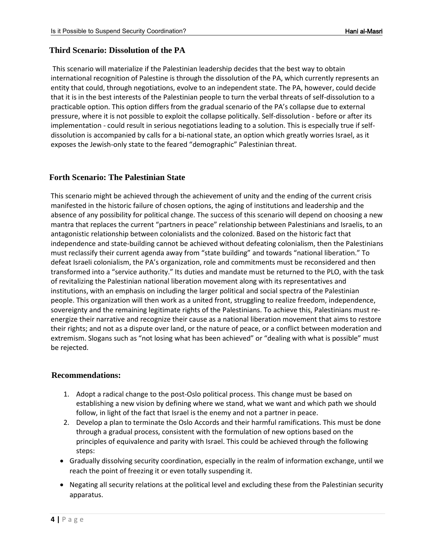#### **Third Scenario: Dissolution of the PA**

This scenario will materialize if the Palestinian leadership decides that the best way to obtain international recognition of Palestine is through the dissolution of the PA, which currently represents an entity that could, through negotiations, evolve to an independent state. The PA, however, could decide that it is in the best interests of the Palestinian people to turn the verbal threats of self-dissolution to a practicable option. This option differs from the gradual scenario of the PA's collapse due to external pressure, where it is not possible to exploit the collapse politically. Self-dissolution - before or after its implementation - could result in serious negotiations leading to a solution. This is especially true if selfdissolution is accompanied by calls for a bi-national state, an option which greatly worries Israel, as it exposes the Jewish-only state to the feared "demographic" Palestinian threat.

#### **Forth Scenario: The Palestinian State**

This scenario might be achieved through the achievement of unity and the ending of the current crisis manifested in the historic failure of chosen options, the aging of institutions and leadership and the absence of any possibility for political change. The success of this scenario will depend on choosing a new mantra that replaces the current "partners in peace" relationship between Palestinians and Israelis, to an antagonistic relationship between colonialists and the colonized. Based on the historic fact that independence and state-building cannot be achieved without defeating colonialism, then the Palestinians must reclassify their current agenda away from "state building" and towards "national liberation." To defeat Israeli colonialism, the PA's organization, role and commitments must be reconsidered and then transformed into a "service authority." Its duties and mandate must be returned to the PLO, with the task of revitalizing the Palestinian national liberation movement along with its representatives and institutions, with an emphasis on including the larger political and social spectra of the Palestinian people. This organization will then work as a united front, struggling to realize freedom, independence, sovereignty and the remaining legitimate rights of the Palestinians. To achieve this, Palestinians must reenergize their narrative and recognize their cause as a national liberation movement that aims to restore their rights; and not as a dispute over land, or the nature of peace, or a conflict between moderation and extremism. Slogans such as "not losing what has been achieved" or "dealing with what is possible" must be rejected.

#### **Recommendations:**

- 1. Adopt a radical change to the post-Oslo political process. This change must be based on establishing a new vision by defining where we stand, what we want and which path we should follow, in light of the fact that Israel is the enemy and not a partner in peace.
- 2. Develop a plan to terminate the Oslo Accords and their harmful ramifications. This must be done through a gradual process, consistent with the formulation of new options based on the principles of equivalence and parity with Israel. This could be achieved through the following steps:
- Gradually dissolving security coordination, especially in the realm of information exchange, until we reach the point of freezing it or even totally suspending it.
- Negating all security relations at the political level and excluding these from the Palestinian security apparatus.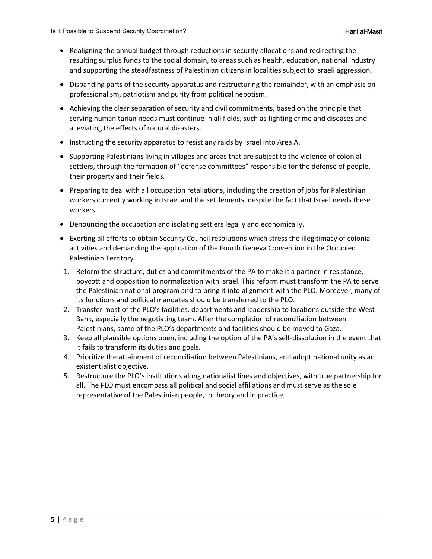- Realigning the annual budget through reductions in security allocations and redirecting the resulting surplus funds to the social domain, to areas such as health, education, national industry and supporting the steadfastness of Palestinian citizens in localities subject to Israeli aggression.
- Disbanding parts of the security apparatus and restructuring the remainder, with an emphasis on professionalism, patriotism and purity from political nepotism.
- Achieving the clear separation of security and civil commitments, based on the principle that serving humanitarian needs must continue in all fields, such as fighting crime and diseases and alleviating the effects of natural disasters.
- Instructing the security apparatus to resist any raids by Israel into Area A.
- Supporting Palestinians living in villages and areas that are subject to the violence of colonial settlers, through the formation of "defense committees" responsible for the defense of people, their property and their fields.
- Preparing to deal with all occupation retaliations, including the creation of jobs for Palestinian workers currently working in Israel and the settlements, despite the fact that Israel needs these workers.
- Denouncing the occupation and isolating settlers legally and economically.
- Exerting all efforts to obtain Security Council resolutions which stress the illegitimacy of colonial activities and demanding the application of the Fourth Geneva Convention in the Occupied Palestinian Territory.
- 1. Reform the structure, duties and commitments of the PA to make it a partner in resistance, boycott and opposition to normalization with Israel. This reform must transform the PA to serve the Palestinian national program and to bring it into alignment with the PLO. Moreover, many of its functions and political mandates should be transferred to the PLO.
- 2. Transfer most of the PLO's facilities, departments and leadership to locations outside the West Bank, especially the negotiating team. After the completion of reconciliation between Palestinians, some of the PLO's departments and facilities should be moved to Gaza.
- 3. Keep all plausible options open, including the option of the PA's self-dissolution in the event that it fails to transform its duties and goals.
- 4. Prioritize the attainment of reconciliation between Palestinians, and adopt national unity as an existentialist objective.
- 5. Restructure the PLO's institutions along nationalist lines and objectives, with true partnership for all. The PLO must encompass all political and social affiliations and must serve as the sole representative of the Palestinian people, in theory and in practice.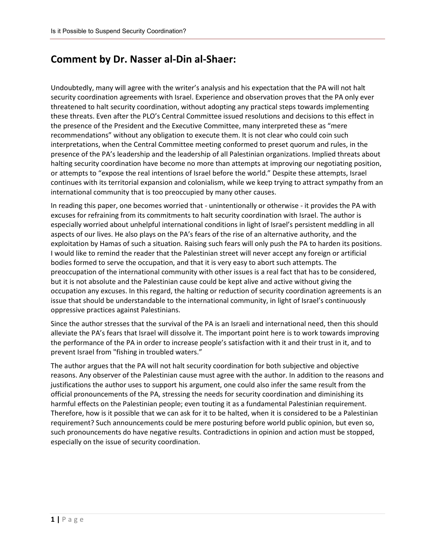### **Comment by Dr. Nasser al-Din al-Shaer:**

Undoubtedly, many will agree with the writer's analysis and his expectation that the PA will not halt security coordination agreements with Israel. Experience and observation proves that the PA only ever threatened to halt security coordination, without adopting any practical steps towards implementing these threats. Even after the PLO's Central Committee issued resolutions and decisions to this effect in the presence of the President and the Executive Committee, many interpreted these as "mere recommendations" without any obligation to execute them. It is not clear who could coin such interpretations, when the Central Committee meeting conformed to preset quorum and rules, in the presence of the PA's leadership and the leadership of all Palestinian organizations. Implied threats about halting security coordination have become no more than attempts at improving our negotiating position, or attempts to "expose the real intentions of Israel before the world." Despite these attempts, Israel continues with its territorial expansion and colonialism, while we keep trying to attract sympathy from an international community that is too preoccupied by many other causes.

In reading this paper, one becomes worried that - unintentionally or otherwise - it provides the PA with excuses for refraining from its commitments to halt security coordination with Israel. The author is especially worried about unhelpful international conditions in light of Israel's persistent meddling in all aspects of our lives. He also plays on the PA's fears of the rise of an alternative authority, and the exploitation by Hamas of such a situation. Raising such fears will only push the PA to harden its positions. I would like to remind the reader that the Palestinian street will never accept any foreign or artificial bodies formed to serve the occupation, and that it is very easy to abort such attempts. The preoccupation of the international community with other issues is a real fact that has to be considered, but it is not absolute and the Palestinian cause could be kept alive and active without giving the occupation any excuses. In this regard, the halting or reduction of security coordination agreements is an issue that should be understandable to the international community, in light of Israel's continuously oppressive practices against Palestinians.

Since the author stresses that the survival of the PA is an Israeli and international need, then this should alleviate the PA's fears that Israel will dissolve it. The important point here is to work towards improving the performance of the PA in order to increase people's satisfaction with it and their trust in it, and to prevent Israel from "fishing in troubled waters."

The author argues that the PA will not halt security coordination for both subjective and objective reasons. Any observer of the Palestinian cause must agree with the author. In addition to the reasons and justifications the author uses to support his argument, one could also infer the same result from the official pronouncements of the PA, stressing the needs for security coordination and diminishing its harmful effects on the Palestinian people; even touting it as a fundamental Palestinian requirement. Therefore, how is it possible that we can ask for it to be halted, when it is considered to be a Palestinian requirement? Such announcements could be mere posturing before world public opinion, but even so, such pronouncements do have negative results. Contradictions in opinion and action must be stopped, especially on the issue of security coordination.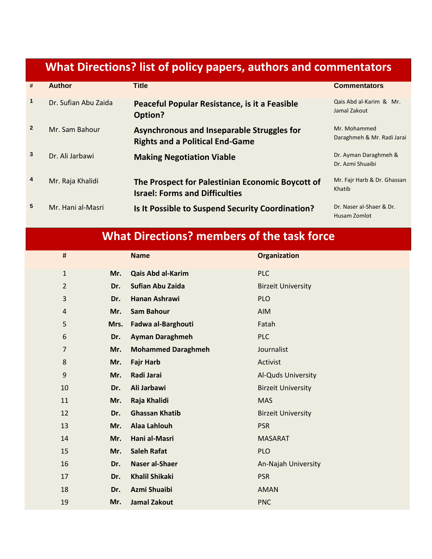# **What Directions? list of policy papers, authors and commentators**

| #                       | <b>Author</b>        | <b>Title</b>                                                                              | <b>Commentators</b>                        |
|-------------------------|----------------------|-------------------------------------------------------------------------------------------|--------------------------------------------|
| $\mathbf{1}$            | Dr. Sufian Abu Zaida | Peaceful Popular Resistance, is it a Feasible<br>Option?                                  | Qais Abd al-Karim & Mr.<br>Jamal Zakout    |
| $\overline{2}$          | Mr. Sam Bahour       | Asynchronous and Inseparable Struggles for<br><b>Rights and a Political End-Game</b>      | Mr. Mohammed<br>Daraghmeh & Mr. Radi Jarai |
| 3                       | Dr. Ali Jarbawi      | <b>Making Negotiation Viable</b>                                                          | Dr. Ayman Daraghmeh &<br>Dr. Azmi Shuaibi  |
| $\overline{\mathbf{4}}$ | Mr. Raja Khalidi     | The Prospect for Palestinian Economic Boycott of<br><b>Israel: Forms and Difficulties</b> | Mr. Fajr Harb & Dr. Ghassan<br>Khatib      |
| 5                       | Mr. Hani al-Masri    | Is It Possible to Suspend Security Coordination?                                          | Dr. Naser al-Shaer & Dr.<br>Husam Zomlot   |

## **What Directions? members of the task force**

| $\sharp\hspace{-0.8em}\sharp$ |      | <b>Name</b>               | <b>Organization</b>       |
|-------------------------------|------|---------------------------|---------------------------|
| $\mathbf{1}$                  | Mr.  | Qais Abd al-Karim         | <b>PLC</b>                |
| $\overline{2}$                | Dr.  | <b>Sufian Abu Zaida</b>   | <b>Birzeit University</b> |
| 3                             | Dr.  | <b>Hanan Ashrawi</b>      | <b>PLO</b>                |
| 4                             | Mr.  | <b>Sam Bahour</b>         | <b>AIM</b>                |
| 5                             | Mrs. | Fadwa al-Barghouti        | Fatah                     |
| 6                             | Dr.  | <b>Ayman Daraghmeh</b>    | <b>PLC</b>                |
| $\overline{7}$                | Mr.  | <b>Mohammed Daraghmeh</b> | Journalist                |
| 8                             | Mr.  | <b>Fajr Harb</b>          | Activist                  |
| 9                             | Mr.  | Radi Jarai                | Al-Quds University        |
| 10                            | Dr.  | Ali Jarbawi               | <b>Birzeit University</b> |
| 11                            | Mr.  | Raja Khalidi              | <b>MAS</b>                |
| 12                            | Dr.  | <b>Ghassan Khatib</b>     | <b>Birzeit University</b> |
| 13                            | Mr.  | <b>Alaa Lahlouh</b>       | <b>PSR</b>                |
| 14                            | Mr.  | Hani al-Masri             | <b>MASARAT</b>            |
| 15                            | Mr.  | <b>Saleh Rafat</b>        | <b>PLO</b>                |
| 16                            | Dr.  | Naser al-Shaer            | An-Najah University       |
| 17                            | Dr.  | <b>Khalil Shikaki</b>     | <b>PSR</b>                |
| 18                            | Dr.  | Azmi Shuaibi              | <b>AMAN</b>               |
| 19                            | Mr.  | <b>Jamal Zakout</b>       | <b>PNC</b>                |